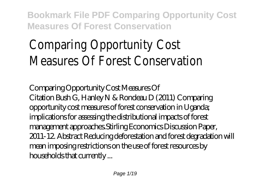# Comparing Opportunity Cost Measures Of Forest Conservation

*Comparing Opportunity Cost Measures Of*

Citation Bush G, Hanley N & Rondeau D (2011) Comparing opportunity cost measures of forest conservation in Uganda; implications for assessing the distributional impacts of forest management approaches.Stirling Economics Discussion Paper, 2011-12. Abstract Reducing deforestation and forest degradation will mean imposing restrictions on the use of forest resources by households that currently ...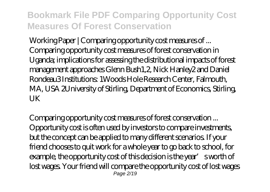*Working Paper | Comparing opportunity cost measures of ...* Comparing opportunity cost measures of forest conservation in Uganda; implications for assessing the distributional impacts of forest management approaches Glenn Bush1,2, Nick Hanley2 and Daniel Rondeau3 Institutions: 1Woods Hole Research Center, Falmouth, MA, USA 2University of Stirling, Department of Economics, Stirling, UK

*Comparing opportunity cost measures of forest conservation ...* Opportunity cost is often used by investors to compare investments, but the concept can be applied to many different scenarios. If your friend chooses to quit work for a whole year to go back to school, for example, the opportunity cost of this decision is the year's worth of lost wages. Your friend will compare the opportunity cost of lost wages Page  $2/19$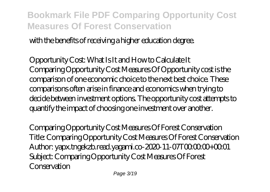with the benefits of receiving a higher education degree.

*Opportunity Cost: What Is It and How to Calculate It* Comparing Opportunity Cost Measures Of Opportunity cost is the comparison of one economic choice to the next best choice. These comparisons often arise in finance and economics when trying to decide between investment options. The opportunity cost attempts to quantify the impact of choosing one investment over another.

*Comparing Opportunity Cost Measures Of Forest Conservation* Title: Comparing Opportunity Cost Measures Of Forest Conservation Author: yapx.tngekzb.read.yagami.co-2020-11-07T00:00:00+00:01 Subject: Comparing Opportunity Cost Measures Of Forest Conservation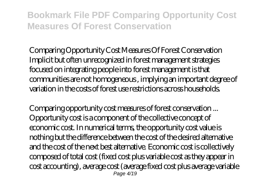*Comparing Opportunity Cost Measures Of Forest Conservation* Implicit but often unrecognized in forest management strategies focused on integrating people into forest management is that communities are not homogeneous , implying an important degree of variation in the costs of forest use restrictions across households.

*Comparing opportunity cost measures of forest conservation ...* Opportunity cost is a component of the collective concept of economic cost. In numerical terms, the opportunity cost value is nothing but the difference between the cost of the desired alternative and the cost of the next best alternative. Economic cost is collectively composed of total cost (fixed cost plus variable cost as they appear in cost accounting), average cost (average fixed cost plus average variable  $P$ age  $4/10$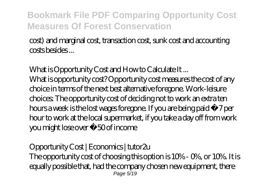cost) and marginal cost, transaction cost, sunk cost and accounting costs besides ...

#### *What is Opportunity Cost and How to Calculate It ...*

What is opportunity cost? Opportunity cost measures the cost of any choice in terms of the next best alternative foregone. Work-leisure choices: The opportunity cost of deciding not to work an extra ten hours a week is the lost wages foregone. If you are being paid £7 per hour to work at the local supermarket, if you take a day off from work you might lose over £50 of income

#### *Opportunity Cost | Economics | tutor2u*

The opportunity cost of choosing this option is 10% - 0%, or 10%. It is equally possible that, had the company chosen new equipment, there Page  $5/19$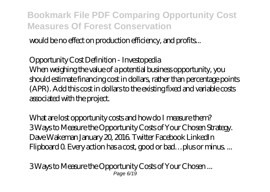would be no effect on production efficiency, and profits...

#### *Opportunity Cost Definition - Investopedia*

When weighing the value of a potential business opportunity, you should estimate financing cost in dollars, rather than percentage points (APR). Add this cost in dollars to the existing fixed and variable costs associated with the project.

*What are lost opportunity costs and how do I measure them?* 3 Ways to Measure the Opportunity Costs of Your Chosen Strategy. Dave Wakeman January 20, 2016. Twitter Facebook LinkedIn Flipboard 0. Every action has a cost, good or bad…plus or minus. ...

*3 Ways to Measure the Opportunity Costs of Your Chosen ...* Page 6/19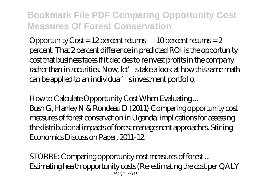Opportunity Cost = 12 percent returns – 10 percent returns = 2 percent. That 2 percent difference in predicted ROI is the opportunity cost that business faces if it decides to reinvest profits in the company rather than in securities. Now, let' stake a look at how this same math can be applied to an individual' sinvestment portfolio.

*How to Calculate Opportunity Cost When Evaluating ...* Bush G, Hanley N & Rondeau D (2011) Comparing opportunity cost measures of forest conservation in Uganda; implications for assessing the distributional impacts of forest management approaches. Stirling Economics Discussion Paper, 2011-12.

*STORRE: Comparing opportunity cost measures of forest ...* Estimating health opportunity costs (Re-estimating the cost per QALY  $P$ age  $7/10$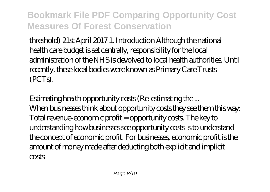threshold) 21st April 2017 1. Introduction Although the national health care budget is set centrally, responsibility for the local administration of the NHS is devolved to local health authorities. Until recently, these local bodies were known as Primary Care Trusts (PCTs).

*Estimating health opportunity costs (Re-estimating the ...* When businesses think about opportunity costs they see them this way: Total revenue-economic profit = opportunity costs. The key to understanding how businesses see opportunity costs is to understand the concept of economic profit. For businesses, economic profit is the amount of money made after deducting both explicit and implicit costs.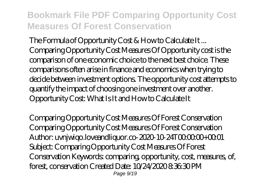*The Formula of Opportunity Cost & How to Calculate It ...* Comparing Opportunity Cost Measures Of Opportunity cost is the comparison of one economic choice to the next best choice. These comparisons often arise in finance and economics when trying to decide between investment options. The opportunity cost attempts to quantify the impact of choosing one investment over another. Opportunity Cost: What Is It and How to Calculate It

*Comparing Opportunity Cost Measures Of Forest Conservation* Comparing Opportunity Cost Measures Of Forest Conservation Author: uvnjwigo.loveandliguor.co-2020-10-24T0000.00+00:01 Subject: Comparing Opportunity Cost Measures Of Forest Conservation Keywords: comparing, opportunity, cost, measures, of, forest, conservation Created Date: 10/24/2020 8:36:30 PM Page  $9/19$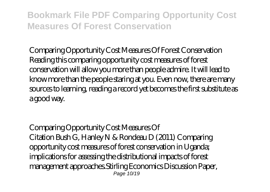*Comparing Opportunity Cost Measures Of Forest Conservation* Reading this comparing opportunity cost measures of forest conservation will allow you more than people admire. It will lead to know more than the people staring at you. Even now, there are many sources to learning, reading a record yet becomes the first substitute as a good way.

*Comparing Opportunity Cost Measures Of* Citation Bush G, Hanley N & Rondeau D (2011) Comparing opportunity cost measures of forest conservation in Uganda; implications for assessing the distributional impacts of forest management approaches.Stirling Economics Discussion Paper, Page 10/19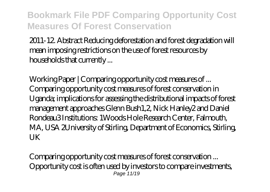2011-12. Abstract Reducing deforestation and forest degradation will mean imposing restrictions on the use of forest resources by households that currently ...

*Working Paper | Comparing opportunity cost measures of ...* Comparing opportunity cost measures of forest conservation in Uganda; implications for assessing the distributional impacts of forest management approaches Glenn Bush1,2, Nick Hanley2 and Daniel Rondeau3 Institutions: 1Woods Hole Research Center, Falmouth, MA, USA 2University of Stirling, Department of Economics, Stirling, UK

*Comparing opportunity cost measures of forest conservation ...* Opportunity cost is often used by investors to compare investments, Page 11/19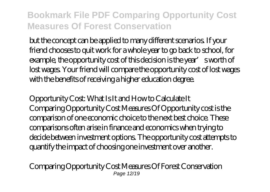but the concept can be applied to many different scenarios. If your friend chooses to quit work for a whole year to go back to school, for example, the opportunity cost of this decision is the year's worth of lost wages. Your friend will compare the opportunity cost of lost wages with the benefits of receiving a higher education degree.

*Opportunity Cost: What Is It and How to Calculate It* Comparing Opportunity Cost Measures Of Opportunity cost is the comparison of one economic choice to the next best choice. These comparisons often arise in finance and economics when trying to decide between investment options. The opportunity cost attempts to quantify the impact of choosing one investment over another.

*Comparing Opportunity Cost Measures Of Forest Conservation* Page 12/19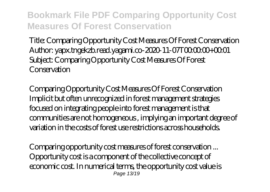Title: Comparing Opportunity Cost Measures Of Forest Conservation Author: vapx.tngekzb.read.yagami.co-2020-11-07T0000.00+00.01 Subject: Comparing Opportunity Cost Measures Of Forest Conservation

*Comparing Opportunity Cost Measures Of Forest Conservation* Implicit but often unrecognized in forest management strategies focused on integrating people into forest management is that communities are not homogeneous , implying an important degree of variation in the costs of forest use restrictions across households.

*Comparing opportunity cost measures of forest conservation ...* Opportunity cost is a component of the collective concept of economic cost. In numerical terms, the opportunity cost value is Page 13/19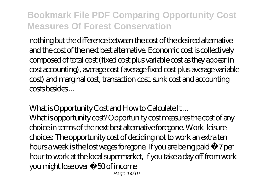nothing but the difference between the cost of the desired alternative and the cost of the next best alternative. Economic cost is collectively composed of total cost (fixed cost plus variable cost as they appear in cost accounting), average cost (average fixed cost plus average variable cost) and marginal cost, transaction cost, sunk cost and accounting costs besides ...

#### *What is Opportunity Cost and How to Calculate It ...*

What is opportunity cost? Opportunity cost measures the cost of any choice in terms of the next best alternative foregone. Work-leisure choices: The opportunity cost of deciding not to work an extra ten hours a week is the lost wages foregone. If you are being paid £7 per hour to work at the local supermarket, if you take a day off from work you might lose over £50 of income Page 14/19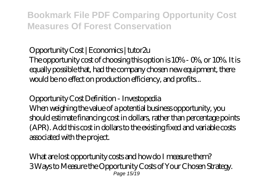#### *Opportunity Cost | Economics | tutor2u*

The opportunity cost of choosing this option is 10% - 0%, or 10%. It is equally possible that, had the company chosen new equipment, there would be no effect on production efficiency, and profits...

#### *Opportunity Cost Definition - Investopedia*

When weighing the value of a potential business opportunity, you should estimate financing cost in dollars, rather than percentage points (APR). Add this cost in dollars to the existing fixed and variable costs associated with the project.

*What are lost opportunity costs and how do I measure them?* 3 Ways to Measure the Opportunity Costs of Your Chosen Strategy. Page 15/19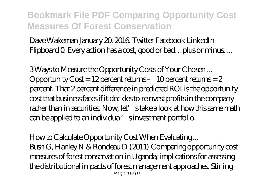Dave Wakeman January 20, 2016. Twitter Facebook LinkedIn Flipboard Q Every action has a cost, good or bad... plus or minus...

*3 Ways to Measure the Opportunity Costs of Your Chosen ...* Opportunity  $\text{Cost} = 12$  percent returns – 10 percent returns = 2 percent. That 2 percent difference in predicted ROI is the opportunity cost that business faces if it decides to reinvest profits in the company rather than in securities. Now, let' stake a look at how this same math can be applied to an individual' sinvestment portfolio.

*How to Calculate Opportunity Cost When Evaluating ...* Bush G, Hanley N & Rondeau D (2011) Comparing opportunity cost measures of forest conservation in Uganda; implications for assessing the distributional impacts of forest management approaches. Stirling Page 16/19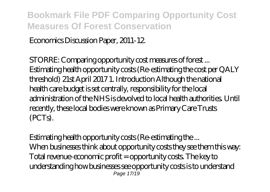Economics Discussion Paper, 2011-12.

*STORRE: Comparing opportunity cost measures of forest ...* Estimating health opportunity costs (Re-estimating the cost per QALY threshold) 21st April 2017 1. Introduction Although the national health care budget is set centrally, responsibility for the local administration of the NHS is devolved to local health authorities. Until recently, these local bodies were known as Primary Care Trusts (PCTs).

*Estimating health opportunity costs (Re-estimating the ...* When businesses think about opportunity costs they see them this way. Total revenue-economic profit = opportunity costs. The key to understanding how businesses see opportunity costs is to understand Page 17/19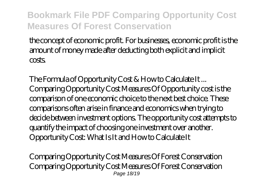the concept of economic profit. For businesses, economic profit is the amount of money made after deducting both explicit and implicit costs

*The Formula of Opportunity Cost & How to Calculate It ...* Comparing Opportunity Cost Measures Of Opportunity cost is the comparison of one economic choice to the next best choice. These comparisons often arise in finance and economics when trying to decide between investment options. The opportunity cost attempts to quantify the impact of choosing one investment over another. Opportunity Cost: What Is It and How to Calculate It

*Comparing Opportunity Cost Measures Of Forest Conservation* Comparing Opportunity Cost Measures Of Forest Conservation Page 18/19